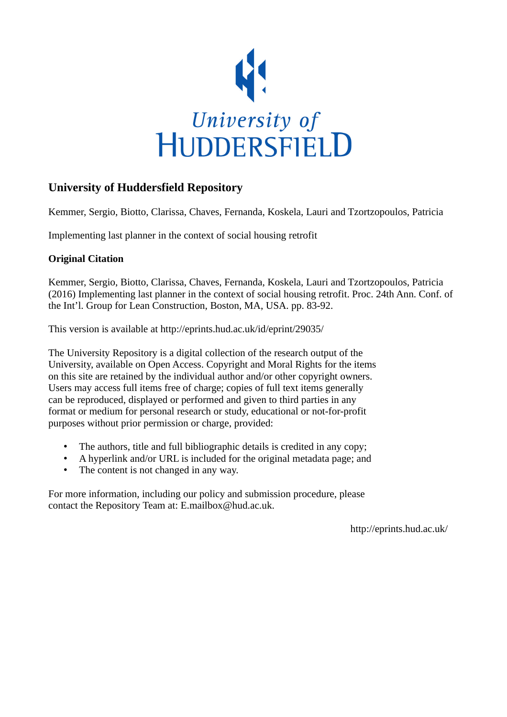

### **University of Huddersfield Repository**

Kemmer, Sergio, Biotto, Clarissa, Chaves, Fernanda, Koskela, Lauri and Tzortzopoulos, Patricia

Implementing last planner in the context of social housing retrofit

#### **Original Citation**

Kemmer, Sergio, Biotto, Clarissa, Chaves, Fernanda, Koskela, Lauri and Tzortzopoulos, Patricia (2016) Implementing last planner in the context of social housing retrofit. Proc. 24th Ann. Conf. of the Int'l. Group for Lean Construction, Boston, MA, USA. pp. 83-92.

This version is available at http://eprints.hud.ac.uk/id/eprint/29035/

The University Repository is a digital collection of the research output of the University, available on Open Access. Copyright and Moral Rights for the items on this site are retained by the individual author and/or other copyright owners. Users may access full items free of charge; copies of full text items generally can be reproduced, displayed or performed and given to third parties in any format or medium for personal research or study, educational or not-for-profit purposes without prior permission or charge, provided:

- The authors, title and full bibliographic details is credited in any copy;
- A hyperlink and/or URL is included for the original metadata page; and
- The content is not changed in any way.

For more information, including our policy and submission procedure, please contact the Repository Team at: E.mailbox@hud.ac.uk.

http://eprints.hud.ac.uk/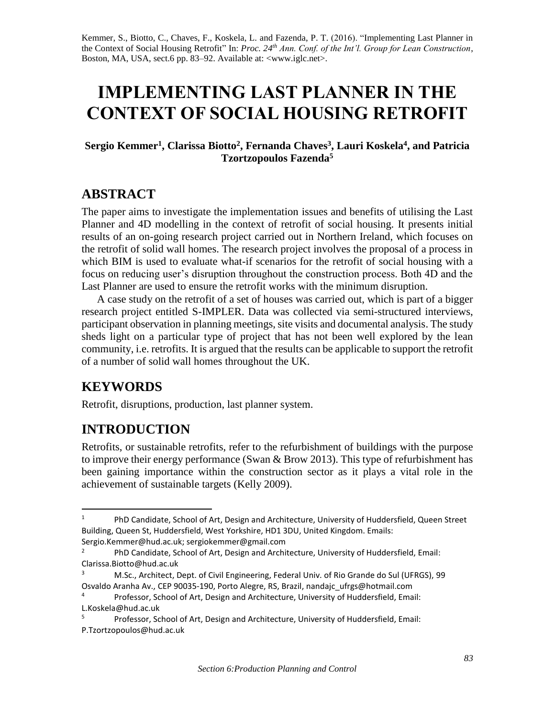Kemmer, S., Biotto, C., Chaves, F., Koskela, L. and Fazenda, P. T. (2016). "Implementing Last Planner in the Context of Social Housing Retrofit" In: *Proc. 24th Ann. Conf. of the Int'l. Group for Lean Construction*, Boston, MA, USA, sect.6 pp. 83–92. Available at: <www.iglc.net>.

# **IMPLEMENTING LAST PLANNER IN THE CONTEXT OF SOCIAL HOUSING RETROFIT**

#### **Sergio Kemmer<sup>1</sup> , Clarissa Biotto<sup>2</sup> , Fernanda Chaves<sup>3</sup> , Lauri Koskela<sup>4</sup> , and Patricia Tzortzopoulos Fazenda<sup>5</sup>**

## **ABSTRACT**

The paper aims to investigate the implementation issues and benefits of utilising the Last Planner and 4D modelling in the context of retrofit of social housing. It presents initial results of an on-going research project carried out in Northern Ireland, which focuses on the retrofit of solid wall homes. The research project involves the proposal of a process in which BIM is used to evaluate what-if scenarios for the retrofit of social housing with a focus on reducing user's disruption throughout the construction process. Both 4D and the Last Planner are used to ensure the retrofit works with the minimum disruption.

A case study on the retrofit of a set of houses was carried out, which is part of a bigger research project entitled S-IMPLER. Data was collected via semi-structured interviews, participant observation in planning meetings, site visits and documental analysis. The study sheds light on a particular type of project that has not been well explored by the lean community, i.e. retrofits. It is argued that the results can be applicable to support the retrofit of a number of solid wall homes throughout the UK.

# **KEYWORDS**

Retrofit, disruptions, production, last planner system.

# **INTRODUCTION**

Retrofits, or sustainable retrofits, refer to the refurbishment of buildings with the purpose to improve their energy performance (Swan & Brow 2013). This type of refurbishment has been gaining importance within the construction sector as it plays a vital role in the achievement of sustainable targets (Kelly 2009).

 $\mathbf{1}$ <sup>1</sup> PhD Candidate, School of Art, Design and Architecture, University of Huddersfield, Queen Street Building, Queen St, Huddersfield, West Yorkshire, HD1 3DU, United Kingdom. Emails:

Sergio.Kemmer@hud.ac.uk; sergiokemmer@gmail.com

PhD Candidate, School of Art, Design and Architecture, University of Huddersfield, Email: Clarissa.Biotto@hud.ac.uk

<sup>3</sup> M.Sc., Architect, Dept. of Civil Engineering, Federal Univ. of Rio Grande do Sul (UFRGS), 99 Osvaldo Aranha Av., CEP 90035-190, Porto Alegre, RS, Brazil, nandajc\_ufrgs@hotmail.com

Professor, School of Art, Design and Architecture, University of Huddersfield, Email: L.Koskela@hud.ac.uk

<sup>&</sup>lt;sup>5</sup> Professor, School of Art, Design and Architecture, University of Huddersfield, Email: P.Tzortzopoulos@hud.ac.uk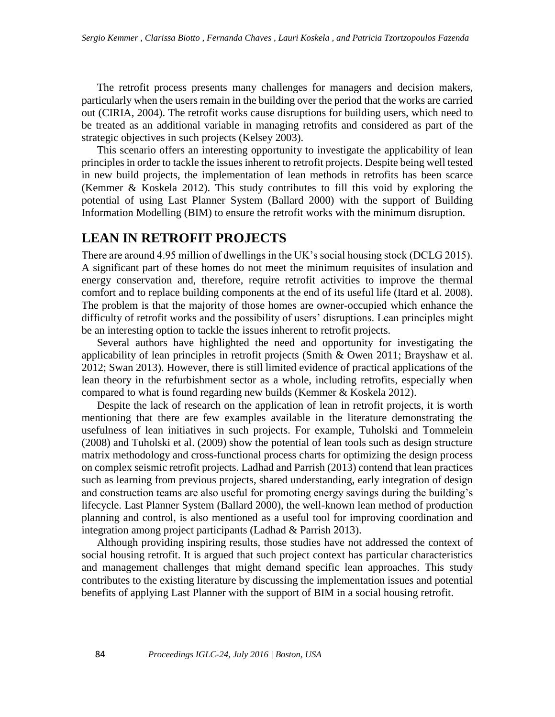The retrofit process presents many challenges for managers and decision makers, particularly when the users remain in the building over the period that the works are carried out (CIRIA, 2004). The retrofit works cause disruptions for building users, which need to be treated as an additional variable in managing retrofits and considered as part of the strategic objectives in such projects (Kelsey 2003).

This scenario offers an interesting opportunity to investigate the applicability of lean principles in order to tackle the issues inherent to retrofit projects. Despite being well tested in new build projects, the implementation of lean methods in retrofits has been scarce (Kemmer & Koskela 2012). This study contributes to fill this void by exploring the potential of using Last Planner System (Ballard 2000) with the support of Building Information Modelling (BIM) to ensure the retrofit works with the minimum disruption.

#### **LEAN IN RETROFIT PROJECTS**

There are around 4.95 million of dwellings in the UK's social housing stock (DCLG 2015). A significant part of these homes do not meet the minimum requisites of insulation and energy conservation and, therefore, require retrofit activities to improve the thermal comfort and to replace building components at the end of its useful life (Itard et al. 2008). The problem is that the majority of those homes are owner-occupied which enhance the difficulty of retrofit works and the possibility of users' disruptions. Lean principles might be an interesting option to tackle the issues inherent to retrofit projects.

Several authors have highlighted the need and opportunity for investigating the applicability of lean principles in retrofit projects (Smith & Owen 2011; Brayshaw et al. 2012; Swan 2013). However, there is still limited evidence of practical applications of the lean theory in the refurbishment sector as a whole, including retrofits, especially when compared to what is found regarding new builds (Kemmer & Koskela 2012).

Despite the lack of research on the application of lean in retrofit projects, it is worth mentioning that there are few examples available in the literature demonstrating the usefulness of lean initiatives in such projects. For example, Tuholski and Tommelein (2008) and Tuholski et al. (2009) show the potential of lean tools such as design structure matrix methodology and cross-functional process charts for optimizing the design process on complex seismic retrofit projects. Ladhad and Parrish (2013) contend that lean practices such as learning from previous projects, shared understanding, early integration of design and construction teams are also useful for promoting energy savings during the building's lifecycle. Last Planner System (Ballard 2000), the well-known lean method of production planning and control, is also mentioned as a useful tool for improving coordination and integration among project participants (Ladhad & Parrish 2013).

Although providing inspiring results, those studies have not addressed the context of social housing retrofit. It is argued that such project context has particular characteristics and management challenges that might demand specific lean approaches. This study contributes to the existing literature by discussing the implementation issues and potential benefits of applying Last Planner with the support of BIM in a social housing retrofit.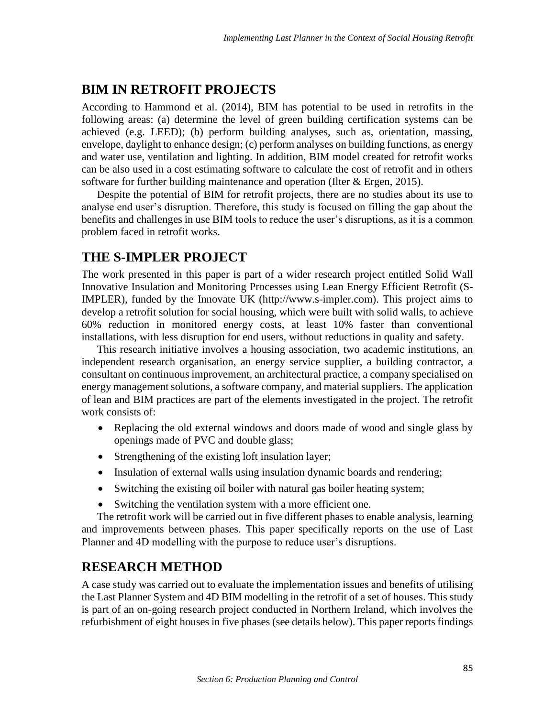### **BIM IN RETROFIT PROJECTS**

According to Hammond et al. (2014), BIM has potential to be used in retrofits in the following areas: (a) determine the level of green building certification systems can be achieved (e.g. LEED); (b) perform building analyses, such as, orientation, massing, envelope, daylight to enhance design; (c) perform analyses on building functions, as energy and water use, ventilation and lighting. In addition, BIM model created for retrofit works can be also used in a cost estimating software to calculate the cost of retrofit and in others software for further building maintenance and operation (Ilter & Ergen, 2015).

Despite the potential of BIM for retrofit projects, there are no studies about its use to analyse end user's disruption. Therefore, this study is focused on filling the gap about the benefits and challenges in use BIM tools to reduce the user's disruptions, as it is a common problem faced in retrofit works.

#### **THE S-IMPLER PROJECT**

The work presented in this paper is part of a wider research project entitled Solid Wall Innovative Insulation and Monitoring Processes using Lean Energy Efficient Retrofit (S-IMPLER), funded by the Innovate UK (http://www.s-impler.com). This project aims to develop a retrofit solution for social housing, which were built with solid walls, to achieve 60% reduction in monitored energy costs, at least 10% faster than conventional installations, with less disruption for end users, without reductions in quality and safety.

This research initiative involves a housing association, two academic institutions, an independent research organisation, an energy service supplier, a building contractor, a consultant on continuous improvement, an architectural practice, a company specialised on energy management solutions, a software company, and material suppliers. The application of lean and BIM practices are part of the elements investigated in the project. The retrofit work consists of:

- Replacing the old external windows and doors made of wood and single glass by openings made of PVC and double glass;
- Strengthening of the existing loft insulation layer;
- Insulation of external walls using insulation dynamic boards and rendering;
- Switching the existing oil boiler with natural gas boiler heating system;
- Switching the ventilation system with a more efficient one.

The retrofit work will be carried out in five different phases to enable analysis, learning and improvements between phases. This paper specifically reports on the use of Last Planner and 4D modelling with the purpose to reduce user's disruptions.

# **RESEARCH METHOD**

A case study was carried out to evaluate the implementation issues and benefits of utilising the Last Planner System and 4D BIM modelling in the retrofit of a set of houses. This study is part of an on-going research project conducted in Northern Ireland, which involves the refurbishment of eight houses in five phases (see details below). This paper reports findings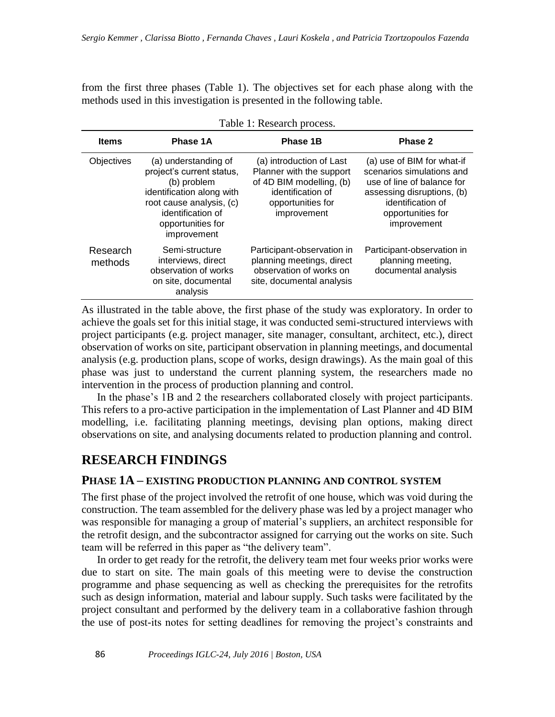from the first three phases (Table 1). The objectives set for each phase along with the methods used in this investigation is presented in the following table.

| <b>Items</b>        | Phase 1A                                                                                                                                                                           | Phase 1B                                                                                                                                  | Phase 2                                                                                                                                                                      |
|---------------------|------------------------------------------------------------------------------------------------------------------------------------------------------------------------------------|-------------------------------------------------------------------------------------------------------------------------------------------|------------------------------------------------------------------------------------------------------------------------------------------------------------------------------|
| Objectives          | (a) understanding of<br>project's current status,<br>(b) problem<br>identification along with<br>root cause analysis, (c)<br>identification of<br>opportunities for<br>improvement | (a) introduction of Last<br>Planner with the support<br>of 4D BIM modelling, (b)<br>identification of<br>opportunities for<br>improvement | (a) use of BIM for what-if<br>scenarios simulations and<br>use of line of balance for<br>assessing disruptions, (b)<br>identification of<br>opportunities for<br>improvement |
| Research<br>methods | Semi-structure<br>interviews, direct<br>observation of works<br>on site, documental<br>analysis                                                                                    | Participant-observation in<br>planning meetings, direct<br>observation of works on<br>site, documental analysis                           | Participant-observation in<br>planning meeting,<br>documental analysis                                                                                                       |

Table 1: Research process.

As illustrated in the table above, the first phase of the study was exploratory. In order to achieve the goals set for this initial stage, it was conducted semi-structured interviews with project participants (e.g. project manager, site manager, consultant, architect, etc.), direct observation of works on site, participant observation in planning meetings, and documental analysis (e.g. production plans, scope of works, design drawings). As the main goal of this phase was just to understand the current planning system, the researchers made no intervention in the process of production planning and control.

In the phase's 1B and 2 the researchers collaborated closely with project participants. This refers to a pro-active participation in the implementation of Last Planner and 4D BIM modelling, i.e. facilitating planning meetings, devising plan options, making direct observations on site, and analysing documents related to production planning and control.

### **RESEARCH FINDINGS**

#### **PHASE 1A – EXISTING PRODUCTION PLANNING AND CONTROL SYSTEM**

The first phase of the project involved the retrofit of one house, which was void during the construction. The team assembled for the delivery phase was led by a project manager who was responsible for managing a group of material's suppliers, an architect responsible for the retrofit design, and the subcontractor assigned for carrying out the works on site. Such team will be referred in this paper as "the delivery team".

In order to get ready for the retrofit, the delivery team met four weeks prior works were due to start on site. The main goals of this meeting were to devise the construction programme and phase sequencing as well as checking the prerequisites for the retrofits such as design information, material and labour supply. Such tasks were facilitated by the project consultant and performed by the delivery team in a collaborative fashion through the use of post-its notes for setting deadlines for removing the project's constraints and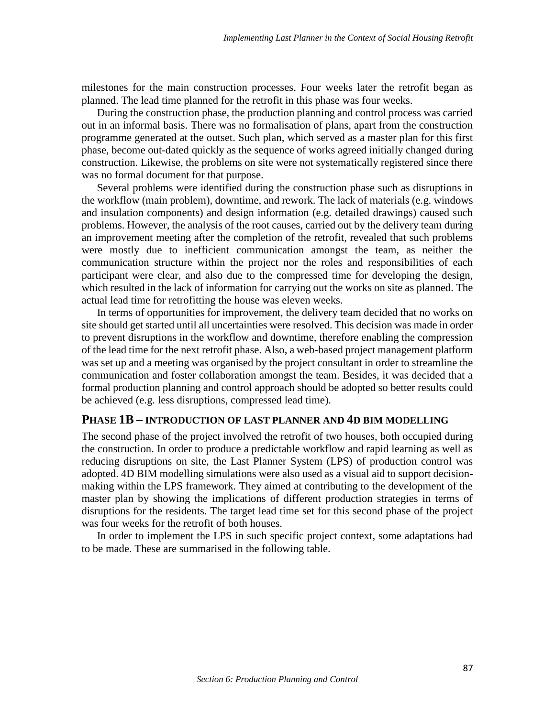milestones for the main construction processes. Four weeks later the retrofit began as planned. The lead time planned for the retrofit in this phase was four weeks.

During the construction phase, the production planning and control process was carried out in an informal basis. There was no formalisation of plans, apart from the construction programme generated at the outset. Such plan, which served as a master plan for this first phase, become out-dated quickly as the sequence of works agreed initially changed during construction. Likewise, the problems on site were not systematically registered since there was no formal document for that purpose.

Several problems were identified during the construction phase such as disruptions in the workflow (main problem), downtime, and rework. The lack of materials (e.g. windows and insulation components) and design information (e.g. detailed drawings) caused such problems. However, the analysis of the root causes, carried out by the delivery team during an improvement meeting after the completion of the retrofit, revealed that such problems were mostly due to inefficient communication amongst the team, as neither the communication structure within the project nor the roles and responsibilities of each participant were clear, and also due to the compressed time for developing the design, which resulted in the lack of information for carrying out the works on site as planned. The actual lead time for retrofitting the house was eleven weeks.

In terms of opportunities for improvement, the delivery team decided that no works on site should get started until all uncertainties were resolved. This decision was made in order to prevent disruptions in the workflow and downtime, therefore enabling the compression of the lead time for the next retrofit phase. Also, a web-based project management platform was set up and a meeting was organised by the project consultant in order to streamline the communication and foster collaboration amongst the team. Besides, it was decided that a formal production planning and control approach should be adopted so better results could be achieved (e.g. less disruptions, compressed lead time).

#### **PHASE 1B – INTRODUCTION OF LAST PLANNER AND 4D BIM MODELLING**

The second phase of the project involved the retrofit of two houses, both occupied during the construction. In order to produce a predictable workflow and rapid learning as well as reducing disruptions on site, the Last Planner System (LPS) of production control was adopted. 4D BIM modelling simulations were also used as a visual aid to support decisionmaking within the LPS framework. They aimed at contributing to the development of the master plan by showing the implications of different production strategies in terms of disruptions for the residents. The target lead time set for this second phase of the project was four weeks for the retrofit of both houses.

In order to implement the LPS in such specific project context, some adaptations had to be made. These are summarised in the following table.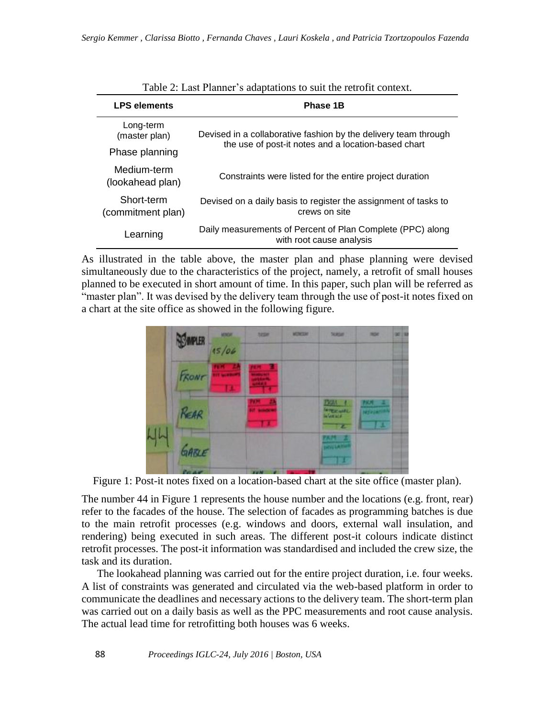| <b>LPS elements</b>             | Phase 1B                                                                               |  |  |  |
|---------------------------------|----------------------------------------------------------------------------------------|--|--|--|
| Long-term<br>(master plan)      | Devised in a collaborative fashion by the delivery team through                        |  |  |  |
| Phase planning                  | the use of post-it notes and a location-based chart                                    |  |  |  |
| Medium-term<br>(lookahead plan) | Constraints were listed for the entire project duration                                |  |  |  |
| Short-term<br>(commitment plan) | Devised on a daily basis to register the assignment of tasks to<br>crews on site       |  |  |  |
| Learning                        | Daily measurements of Percent of Plan Complete (PPC) along<br>with root cause analysis |  |  |  |

Table 2: Last Planner's adaptations to suit the retrofit context.

As illustrated in the table above, the master plan and phase planning were devised simultaneously due to the characteristics of the project, namely, a retrofit of small houses planned to be executed in short amount of time. In this paper, such plan will be referred as "master plan". It was devised by the delivery team through the use of post-it notes fixed on a chart at the site office as showed in the following figure.

|    | <b>MOVER</b>     | <b>MONDAY</b><br>15/06 | 3228                                 | <b>MONTH</b> | <b>SUGH</b>                                  | more    | WIN |  |
|----|------------------|------------------------|--------------------------------------|--------------|----------------------------------------------|---------|-----|--|
|    | Front            |                        |                                      |              |                                              |         |     |  |
| HM | REAR             |                        |                                      |              | <b>DOM</b><br><b>TOTELWALL</b><br><b>IRA</b> | s<br>93 |     |  |
|    | GARLE            |                        |                                      |              | <b>DON LATH</b><br>,,,,                      |         |     |  |
|    | <b>Parameter</b> |                        | <b>Security</b><br><b>CALIFORNIA</b> |              |                                              |         |     |  |

Figure 1: Post-it notes fixed on a location-based chart at the site office (master plan).

The number 44 in Figure 1 represents the house number and the locations (e.g. front, rear) refer to the facades of the house. The selection of facades as programming batches is due to the main retrofit processes (e.g. windows and doors, external wall insulation, and rendering) being executed in such areas. The different post-it colours indicate distinct retrofit processes. The post-it information was standardised and included the crew size, the task and its duration.

The lookahead planning was carried out for the entire project duration, i.e. four weeks. A list of constraints was generated and circulated via the web-based platform in order to communicate the deadlines and necessary actions to the delivery team. The short-term plan was carried out on a daily basis as well as the PPC measurements and root cause analysis. The actual lead time for retrofitting both houses was 6 weeks.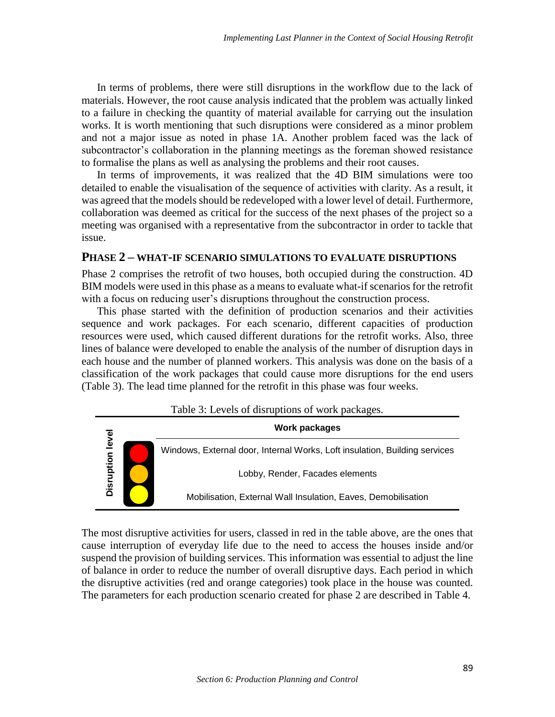In terms of problems, there were still disruptions in the workflow due to the lack of materials. However, the root cause analysis indicated that the problem was actually linked to a failure in checking the quantity of material available for carrying out the insulation works. It is worth mentioning that such disruptions were considered as a minor problem and not a major issue as noted in phase 1A. Another problem faced was the lack of subcontractor's collaboration in the planning meetings as the foreman showed resistance to formalise the plans as well as analysing the problems and their root causes.

In terms of improvements, it was realized that the 4D BIM simulations were too detailed to enable the visualisation of the sequence of activities with clarity. As a result, it was agreed that the models should be redeveloped with a lower level of detail. Furthermore, collaboration was deemed as critical for the success of the next phases of the project so a meeting was organised with a representative from the subcontractor in order to tackle that issue.

#### **PHASE 2 – WHAT-IF SCENARIO SIMULATIONS TO EVALUATE DISRUPTIONS**

Phase 2 comprises the retrofit of two houses, both occupied during the construction. 4D BIM models were used in this phase as a means to evaluate what-if scenarios for the retrofit with a focus on reducing user's disruptions throughout the construction process.

This phase started with the definition of production scenarios and their activities sequence and work packages. For each scenario, different capacities of production resources were used, which caused different durations for the retrofit works. Also, three lines of balance were developed to enable the analysis of the number of disruption days in each house and the number of planned workers. This analysis was done on the basis of a classification of the work packages that could cause more disruptions for the end users (Table 3). The lead time planned for the retrofit in this phase was four weeks.



The most disruptive activities for users, classed in red in the table above, are the ones that cause interruption of everyday life due to the need to access the houses inside and/or suspend the provision of building services. This information was essential to adjust the line of balance in order to reduce the number of overall disruptive days. Each period in which the disruptive activities (red and orange categories) took place in the house was counted. The parameters for each production scenario created for phase 2 are described in Table 4.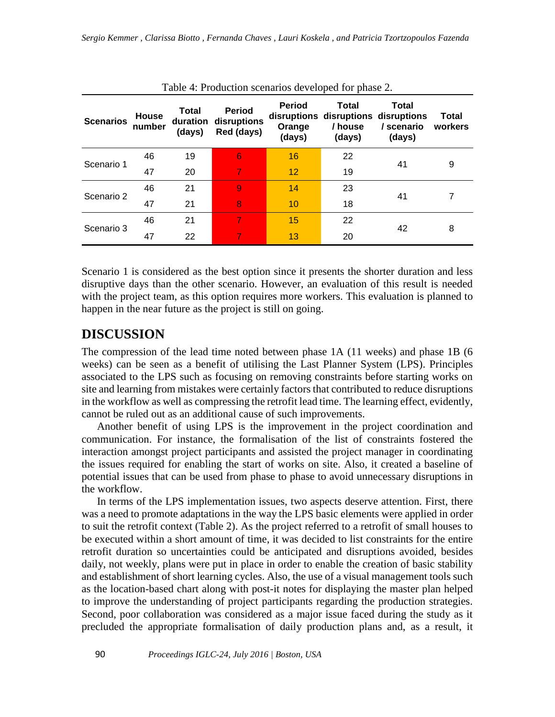| Table 4: Production scenarios developed for phase $\mathbb{Z}$ . |                 |                 |                                                     |                                   |                                                                   |                               |                  |
|------------------------------------------------------------------|-----------------|-----------------|-----------------------------------------------------|-----------------------------------|-------------------------------------------------------------------|-------------------------------|------------------|
| <b>Scenarios</b>                                                 | House<br>number | Total<br>(days) | <b>Period</b><br>duration disruptions<br>Red (days) | <b>Period</b><br>Orange<br>(days) | Total<br>disruptions disruptions disruptions<br>/ house<br>(days) | Total<br>/ scenario<br>(days) | Total<br>workers |
| Scenario 1                                                       | 46              | 19              | 6                                                   | 16                                | 22                                                                | 41                            | 9                |
|                                                                  | 47              | 20              | 7                                                   | 12                                | 19                                                                |                               |                  |
| Scenario 2                                                       | 46              | 21              | 9                                                   | 14                                | 23                                                                | 41                            |                  |
|                                                                  | 47              | 21              | 8                                                   | 10                                | 18                                                                |                               |                  |
| Scenario 3                                                       | 46              | 21              | A                                                   | 15                                | 22                                                                | 42                            | 8                |
|                                                                  | 47              | 22              |                                                     | 13                                | 20                                                                |                               |                  |

Table 4: Production scenarios developed for phase 2.

Scenario 1 is considered as the best option since it presents the shorter duration and less disruptive days than the other scenario. However, an evaluation of this result is needed with the project team, as this option requires more workers. This evaluation is planned to happen in the near future as the project is still on going.

#### **DISCUSSION**

The compression of the lead time noted between phase 1A (11 weeks) and phase 1B (6 weeks) can be seen as a benefit of utilising the Last Planner System (LPS). Principles associated to the LPS such as focusing on removing constraints before starting works on site and learning from mistakes were certainly factors that contributed to reduce disruptions in the workflow as well as compressing the retrofit lead time. The learning effect, evidently, cannot be ruled out as an additional cause of such improvements.

Another benefit of using LPS is the improvement in the project coordination and communication. For instance, the formalisation of the list of constraints fostered the interaction amongst project participants and assisted the project manager in coordinating the issues required for enabling the start of works on site. Also, it created a baseline of potential issues that can be used from phase to phase to avoid unnecessary disruptions in the workflow.

In terms of the LPS implementation issues, two aspects deserve attention. First, there was a need to promote adaptations in the way the LPS basic elements were applied in order to suit the retrofit context (Table 2). As the project referred to a retrofit of small houses to be executed within a short amount of time, it was decided to list constraints for the entire retrofit duration so uncertainties could be anticipated and disruptions avoided, besides daily, not weekly, plans were put in place in order to enable the creation of basic stability and establishment of short learning cycles. Also, the use of a visual management tools such as the location-based chart along with post-it notes for displaying the master plan helped to improve the understanding of project participants regarding the production strategies. Second, poor collaboration was considered as a major issue faced during the study as it precluded the appropriate formalisation of daily production plans and, as a result, it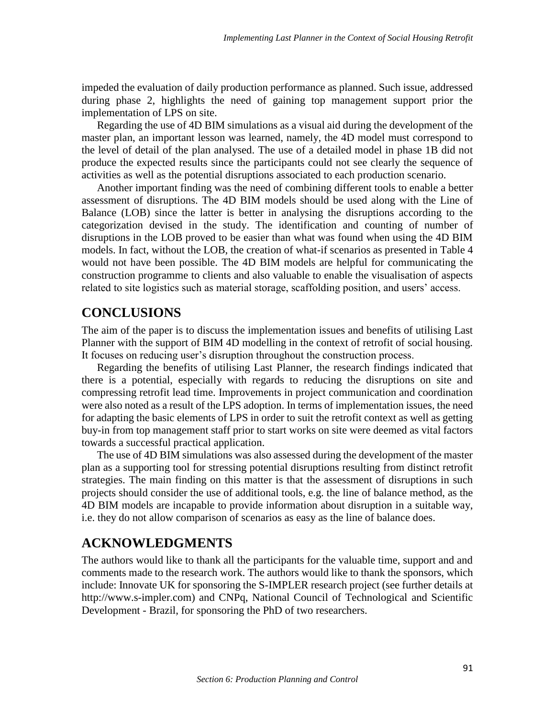impeded the evaluation of daily production performance as planned. Such issue, addressed during phase 2, highlights the need of gaining top management support prior the implementation of LPS on site.

Regarding the use of 4D BIM simulations as a visual aid during the development of the master plan, an important lesson was learned, namely, the 4D model must correspond to the level of detail of the plan analysed. The use of a detailed model in phase 1B did not produce the expected results since the participants could not see clearly the sequence of activities as well as the potential disruptions associated to each production scenario.

Another important finding was the need of combining different tools to enable a better assessment of disruptions. The 4D BIM models should be used along with the Line of Balance (LOB) since the latter is better in analysing the disruptions according to the categorization devised in the study. The identification and counting of number of disruptions in the LOB proved to be easier than what was found when using the 4D BIM models. In fact, without the LOB, the creation of what-if scenarios as presented in Table 4 would not have been possible. The 4D BIM models are helpful for communicating the construction programme to clients and also valuable to enable the visualisation of aspects related to site logistics such as material storage, scaffolding position, and users' access.

# **CONCLUSIONS**

The aim of the paper is to discuss the implementation issues and benefits of utilising Last Planner with the support of BIM 4D modelling in the context of retrofit of social housing. It focuses on reducing user's disruption throughout the construction process.

Regarding the benefits of utilising Last Planner, the research findings indicated that there is a potential, especially with regards to reducing the disruptions on site and compressing retrofit lead time. Improvements in project communication and coordination were also noted as a result of the LPS adoption. In terms of implementation issues, the need for adapting the basic elements of LPS in order to suit the retrofit context as well as getting buy-in from top management staff prior to start works on site were deemed as vital factors towards a successful practical application.

The use of 4D BIM simulations was also assessed during the development of the master plan as a supporting tool for stressing potential disruptions resulting from distinct retrofit strategies. The main finding on this matter is that the assessment of disruptions in such projects should consider the use of additional tools, e.g. the line of balance method, as the 4D BIM models are incapable to provide information about disruption in a suitable way, i.e. they do not allow comparison of scenarios as easy as the line of balance does.

# **ACKNOWLEDGMENTS**

The authors would like to thank all the participants for the valuable time, support and and comments made to the research work. The authors would like to thank the sponsors, which include: Innovate UK for sponsoring the S-IMPLER research project (see further details at http://www.s-impler.com) and CNPq, National Council of Technological and Scientific Development - Brazil, for sponsoring the PhD of two researchers.